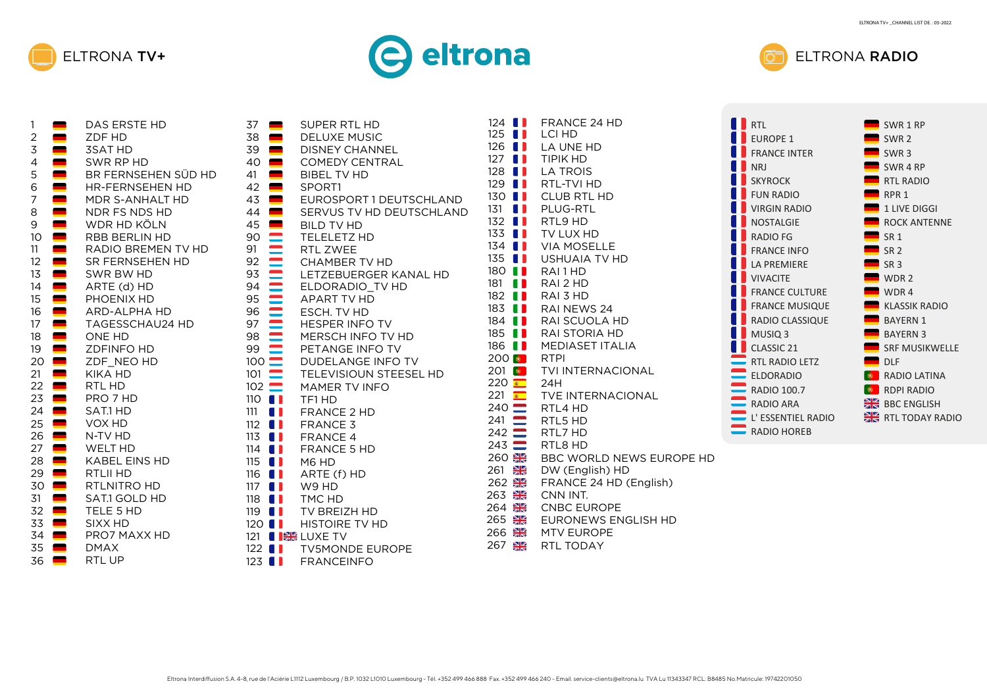





| 1              | ▀ | DAS ERSTE HD           |
|----------------|---|------------------------|
| $\overline{c}$ |   | ZDF HD                 |
| $\frac{3}{4}$  |   | <b>3SAT HD</b>         |
|                |   | SWR RP HD              |
| 5              |   | BR FERNSEHEN SÜD HD    |
| 6              |   | <b>HR-FERNSEHEN HD</b> |
| $\overline{7}$ |   | MDR S-ANHALT HD        |
| 8              |   | NDR FS NDS HD          |
| 9              |   | WDR HD KÖLN            |
| 10             |   | RBB BERLIN HD          |
| 11             |   | RADIO BREMEN TV HD     |
| 12             |   | SR FERNSEHEN HD        |
| 13             |   | SWR BW HD              |
| 14             |   | ARTE (d) HD            |
|                |   | PHOENIX HD             |
| 15             |   |                        |
| 16             |   | <b>ARD-ALPHA HD</b>    |
| 17             |   | <b>TAGESSCHAU24 HD</b> |
| 18             |   | <b>ONE HD</b>          |
| 19             |   | <b>ZDFINFO HD</b>      |
| 20             |   | ZDF NEO HD             |
| 21             |   | KIKA HD                |
| 22             |   | RTL HD                 |
| 23             |   | PRO 7 HD               |
| 24             |   | SAT.1 HD               |
| 25             |   | VOX HD                 |
| 26             |   | N-TV HD                |
| 27             |   | WELT HD                |
| 28             |   | <b>KABEL EINS HD</b>   |
| 29             |   | RTLII HD               |
| 30             |   | RTLNITRO HD            |
| 31             |   | SAT.1 GOLD HD          |
| 32             |   | TELE 5 HD              |
| 33             |   | SIXX HD                |
| 34             |   | PRO7 MAXX HD           |
| 35             |   | <b>DMAX</b>            |
| 36             |   | RTL UP                 |
|                |   |                        |

| 37<br>38             | <b>SUPER RTL HD</b><br>▀<br><b>DELUXE MUSIC</b><br>▀ |
|----------------------|------------------------------------------------------|
| 39                   | <b>DISNEY CHANNEL</b>                                |
|                      | <b>COMEDY CENTRAL</b>                                |
|                      | <b>BIBEL TV HD</b>                                   |
|                      | SPORT1                                               |
|                      | EUROSPORT 1 DEUTSCHLAND                              |
|                      | SERVUS TV HD DEUTSCHLAND                             |
|                      | <b>BILD TV HD</b>                                    |
|                      | <b>TELELETZ HD</b>                                   |
|                      | <b>RTL ZWEE</b>                                      |
|                      | <b>CHAMBER TV HD</b>                                 |
|                      | LETZEBUERGER KANAL HD                                |
|                      | ELDORADIO TV HD<br><b>APART TV HD</b>                |
|                      | ESCH. TV HD                                          |
|                      | <b>HESPER INFO TV</b>                                |
|                      | MERSCH INFO TV HD                                    |
|                      | PETANGE INFO TV                                      |
|                      | <b>DUDELANGE INFO TV</b>                             |
|                      | TELEVISIOUN STEESEL HD                               |
| $102 \blacksquare$   | MAMER TV INFO                                        |
| $110$ $\blacksquare$ | TF1 HD                                               |
| $111$ $\blacksquare$ | FRANCE 2 HD                                          |
|                      | 112 $\blacksquare$ FRANCE 3                          |
|                      | 113 <b>  FRANCE 4</b>                                |
| $114$ $\blacksquare$ | <b>FRANCE 5 HD</b>                                   |
| $115$ $\blacksquare$ | M6 HD                                                |
| $116$ $\blacksquare$ | ARTE (f) HD                                          |
| $117$ $\blacksquare$ | W9 HD                                                |
| $118$ $\blacksquare$ | TMC HD                                               |
| $119$ $\blacksquare$ | TV BREIZH HD                                         |
|                      | 120   HISTOIRE TV HD                                 |
| 121                  | <b>I BIG</b> LUXE TV                                 |
| $122$ $\blacksquare$ | <b>TV5MONDE EUROPE</b><br>A 1                        |
| 123                  | <b>FRANCEINFO</b>                                    |

| $124$ $\blacksquare$<br>$125$ $\blacksquare$<br>$126$ $\blacksquare$<br>$127$ $\blacksquare$<br>$128$ $\blacksquare$<br>$129$ $\blacksquare$<br>$130$ $\blacksquare$<br>131<br>$\blacksquare$<br>$132$ <b>1</b><br>$133$ $\blacksquare$<br>$134$ $\blacksquare$<br>$135$ $\blacksquare$<br>180 <b>  </b><br>181<br>88<br>$182$ <b>11</b><br>$183$ $\blacksquare$<br>$184$ $\blacksquare$<br>185<br>88<br>$186$ $\blacksquare$<br>$200$ $\bullet$<br>$201$ $\bullet$<br>$220$ $\bullet$<br>$221$ $\bullet$<br>$240 \blacksquare$<br>$241 \n\begin{array}{c}\n\blacksquare\n\end{array}$ | <b>FRANCE 24 HD</b><br>LCI HD<br>LA UNE HD<br><b>TIPIK HD</b><br><b>LA TROIS</b><br>RTL-TVI HD<br><b>CLUB RTL HD</b><br>PLUG-RTL<br>RTL9 HD<br>TV LUX HD<br><b>VIA MOSELLE</b><br>USHUAIA TV HD<br>RAI1HD<br>RAI 2 HD<br>RAI 3 HD<br>RAI NEWS 24<br>RAI SCUOLA HD<br>RAI STORIA HD<br>MEDIASET ITALIA<br><b>RTPI</b><br>TVI INTERNACIONAL<br>24H<br>TVE INTERNACIONAL<br>RTL4 HD<br>RTL5 HD | <b>II</b> RTL<br><b>EUROPE 1</b><br><b>FRANCE INTER</b><br><b>NRJ</b><br><b>SKYROCK</b><br><b>FUN RADIO</b><br><b>VIRGIN RADIO</b><br><b>NOSTALGIE</b><br><b>RADIO FG</b><br><b>FRANCE INFO</b><br><b>LA PREMIERE</b><br><b>VIVACITE</b><br><b>FRANCE CULTURE</b><br><b>FRANCE MUSIQUE</b><br><b>RADIO CLASSIQUE</b><br>MUSIQ <sub>3</sub><br>CLASSIC 21<br><b>RTL RADIO LETZ</b><br>ELDORADIO<br><b>RADIO 100.7</b><br>$\equiv$ RADIO ARA<br>L'ESSENTIEL RADIO | $\circ$ | SWR 1 RP<br>SWR <sub>2</sub><br>SWR <sub>3</sub><br>SWR <sub>4</sub> RP<br>RTL RADIO<br>RPR <sub>1</sub><br>1 LIVE DIO<br><b>ROCK AN</b><br>SR <sub>1</sub><br>SR <sub>2</sub><br>SR <sub>3</sub><br>WDR <sub>2</sub><br>WDR4<br>KLASSIK R<br><b>BAYERN 1</b><br><b>BAYERN 3</b><br><b>SRF MUSI</b><br><b>DLF</b><br><b>O</b> RADIO LA<br><b>RDPI RAD</b><br><b>BBC</b> ENGL<br><b>EXECUTED</b> RTL TODA |
|----------------------------------------------------------------------------------------------------------------------------------------------------------------------------------------------------------------------------------------------------------------------------------------------------------------------------------------------------------------------------------------------------------------------------------------------------------------------------------------------------------------------------------------------------------------------------------------|---------------------------------------------------------------------------------------------------------------------------------------------------------------------------------------------------------------------------------------------------------------------------------------------------------------------------------------------------------------------------------------------|-----------------------------------------------------------------------------------------------------------------------------------------------------------------------------------------------------------------------------------------------------------------------------------------------------------------------------------------------------------------------------------------------------------------------------------------------------------------|---------|----------------------------------------------------------------------------------------------------------------------------------------------------------------------------------------------------------------------------------------------------------------------------------------------------------------------------------------------------------------------------------------------------------|
| $242 \equiv$                                                                                                                                                                                                                                                                                                                                                                                                                                                                                                                                                                           | RTL7 HD                                                                                                                                                                                                                                                                                                                                                                                     | <b>RADIO HOREB</b>                                                                                                                                                                                                                                                                                                                                                                                                                                              |         |                                                                                                                                                                                                                                                                                                                                                                                                          |
| $243$ $\blacksquare$<br>260 黑<br>¥≼<br>261<br>262 米<br>263 温<br>$\frac{N}{Z}$<br>264<br>265 <b>DK</b><br>266 米                                                                                                                                                                                                                                                                                                                                                                                                                                                                         | RTL8 HD<br>BBC WORLD NEWS EUROPE HD<br>DW (English) HD<br>FRANCE 24 HD (English)<br>CNN INT.<br><b>CNBC EUROPE</b><br>EURONEWS ENGLISH HD<br><b>MTV EUROPE</b>                                                                                                                                                                                                                              |                                                                                                                                                                                                                                                                                                                                                                                                                                                                 |         |                                                                                                                                                                                                                                                                                                                                                                                                          |

267 **AR** RTL TODAY

| RTI.                   | SWR 1 RP                 |
|------------------------|--------------------------|
| <b>EUROPE 1</b>        | SWR <sub>2</sub>         |
| <b>FRANCE INTER</b>    | SWR <sub>3</sub>         |
| NR.I                   | SWR <sub>4</sub> RP      |
| <b>SKYROCK</b>         | <b>RTL RADIO</b>         |
| FUN RADIO              | RPR <sub>1</sub>         |
| <b>VIRGIN RADIO</b>    | 1 LIVE DIGGI             |
| <b>NOSTALGIE</b>       | <b>ROCK ANTENNE</b>      |
| <b>RADIO FG</b>        | <b>SR1</b>               |
| <b>FRANCE INFO</b>     | <b>SR 2</b>              |
| <b>I A PREMIFRE</b>    | SR <sub>3</sub>          |
| <b>VIVACITE</b>        | WDR <sub>2</sub>         |
| <b>FRANCE CULTURE</b>  | WDR4                     |
| <b>FRANCE MUSIQUE</b>  | <b>KLASSIK RADIO</b>     |
| <b>RADIO CLASSIQUE</b> | <b>BAYFRN1</b>           |
| MUSIQ 3                | <b>BAYERN 3</b>          |
| CLASSIC <sub>21</sub>  | <b>SRF MUSIKWELLE</b>    |
| <b>RTL RADIO LETZ</b>  | <b>DLF</b>               |
| <b>ELDORADIO</b>       | <b>RADIO LATINA</b><br>۰ |
| RADIO 100.7            | <b>RDPI RADIO</b><br>۵   |
| <b>RADIO ARA</b>       | <b>BBC ENGLISH</b>       |
| L' ESSENTIEL RADIO     | <b>RTL TODAY RADIO</b>   |
| <b>RADIO HOREB</b>     |                          |